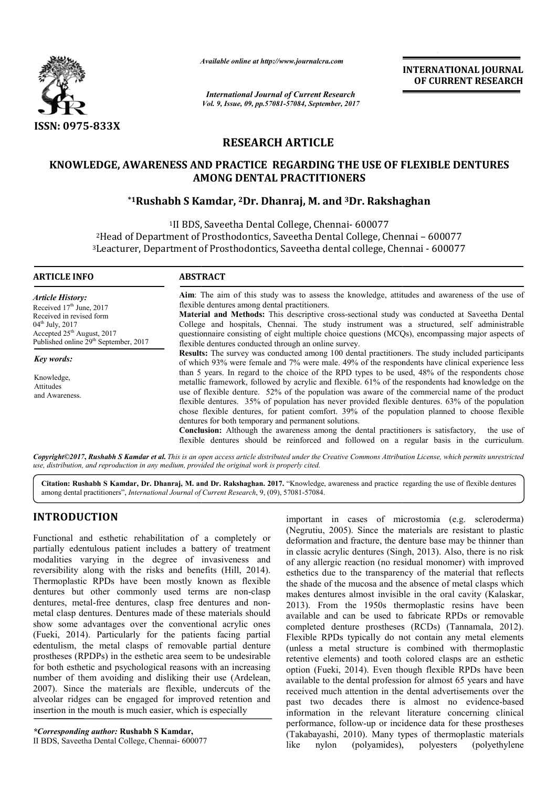

*Available online at http://www.journal http://www.journalcra.com*

*International Journal of Current Research Vol. 9, Issue, 09, pp.57081-57084, September, 2017* **INTERNATIONAL JOURNAL OF CURRENT RESEARCH** 

# **RESEARCH ARTICLE**

### **KNOWLEDGE, AWARENESS AND PRACTICE REGARDING THE USE OF FLEXIBLE DENTURES AMONG DENTAL PRACTITIONERS**

## **\*1Rushabh S Kamdar, Rushabh 2Dr. Dhanraj, M. and 3Dr. Rakshaghan Rakshaghan**

1II BDS, 2Head of Department of Prosthodontics, Head Saveetha Dental College, Chennai – 600077 <sup>3</sup> Leacturer, Department of Prosthodontics, Saveetha dental college, Chennai - 600077 <sup>1</sup>II BDS, Saveetha Dental College, Chennai- 600077

| <b>ARTICLE INFO</b>                                                                                                                                                                                             | <b>ABSTRACT</b>                                                                                                                                                                                                                                                                                                                                                                                                                                                                                                                                                                                                                                                                                                                                                                                                                                                                                                                                                                                                                                                                                                                                                                                                                                                                                                                                                                                                                                                                                    |
|-----------------------------------------------------------------------------------------------------------------------------------------------------------------------------------------------------------------|----------------------------------------------------------------------------------------------------------------------------------------------------------------------------------------------------------------------------------------------------------------------------------------------------------------------------------------------------------------------------------------------------------------------------------------------------------------------------------------------------------------------------------------------------------------------------------------------------------------------------------------------------------------------------------------------------------------------------------------------------------------------------------------------------------------------------------------------------------------------------------------------------------------------------------------------------------------------------------------------------------------------------------------------------------------------------------------------------------------------------------------------------------------------------------------------------------------------------------------------------------------------------------------------------------------------------------------------------------------------------------------------------------------------------------------------------------------------------------------------------|
| <b>Article History:</b><br>Received $17th$ June, 2017<br>Received in revised form<br>$04^{\text{th}}$ July, 2017<br>Accepted 25 <sup>th</sup> August, 2017<br>Published online 29 <sup>th</sup> September, 2017 | Aim: The aim of this study was to assess the knowledge, attitudes and awareness of the use of<br>flexible dentures among dental practitioners.<br>Material and Methods: This descriptive cross-sectional study was conducted at Saveetha Dental<br>College and hospitals, Chennai. The study instrument was a structured, self administrable<br>questionnaire consisting of eight multiple choice questions (MCQs), encompassing major aspects of<br>flexible dentures conducted through an online survey.<br><b>Results:</b> The survey was conducted among 100 dental practitioners. The study included participants<br>of which 93% were female and 7% were male. 49% of the respondents have clinical experience less<br>than 5 years. In regard to the choice of the RPD types to be used, 48% of the respondents chose<br>metallic framework, followed by acrylic and flexible. 61% of the respondents had knowledge on the<br>use of flexible denture. 52% of the population was aware of the commercial name of the product<br>flexible dentures. 35% of population has never provided flexible dentures. 63% of the population<br>chose flexible dentures, for patient comfort. 39% of the population planned to choose flexible<br>dentures for both temporary and permanent solutions.<br>Conclusion: Although the awareness among the dental practitioners is satisfactory,<br>the use of<br>flexible dentures should be reinforced and followed on a regular basis in the curriculum. |
| Key words:                                                                                                                                                                                                      |                                                                                                                                                                                                                                                                                                                                                                                                                                                                                                                                                                                                                                                                                                                                                                                                                                                                                                                                                                                                                                                                                                                                                                                                                                                                                                                                                                                                                                                                                                    |
| Knowledge,<br>Attitudes<br>and Awareness.                                                                                                                                                                       |                                                                                                                                                                                                                                                                                                                                                                                                                                                                                                                                                                                                                                                                                                                                                                                                                                                                                                                                                                                                                                                                                                                                                                                                                                                                                                                                                                                                                                                                                                    |

*Copyright©2017***,** *Rushabh S Kamdar et al. This is an open access article distributed under the Creative Commons Att Attribution License, which ribution permits unrestricted use, distribution, and reproduction in any medium, provided the original work is properly cited.*

**Citation: Rushabh S Kamdar, Dr. Dhanraj, M. and Dr. Rakshaghan. 2017.** "Knowledge, awareness and practice regarding the use of flexible denturesamong dental practitioners", *International Journal of Current Research*, 9, (09), 57081-57084.

## **INTRODUCTION**

Functional and esthetic rehabilitation of a completely or partially edentulous patient includes a battery of treatment modalities varying in the degree of invasiveness and reversibility along with the risks and benefits (Hill, 2014). Thermoplastic RPDs have been mostly known as flexible dentures but other commonly used terms are non-clasp dentures, metal-free dentures, clasp free dentures and nonmetal clasp dentures. Dentures made of these materials should show some advantages over the conventional acrylic ones (Fueki, 2014). Particularly for the patients facing partial edentulism, the metal clasps of removable partial denture prostheses (RPDPs) in the esthetic area seem to be undesirable for both esthetic and psychological reasons with an increasing number of them avoiding and disliking their use (Ardelean, 2007). Since the materials are flexible, undercuts of the alveolar ridges can be engaged for improved retention and insertion in the mouth is much easier, which is especially

important in cases of microstomia (e.g. scleroderma) (Negrutiu, 2005). Since the materials are resistant to plastic deformation and fracture, the denture base may be thinner than in classic acrylic dentures (Singh, 2013). Also, there is no risk of any allergic reaction (no residual monomer) with improved esthetics due to the transparency of the material that reflects the shade of the mucosa and the absence of metal clasps which makes dentures almost invisible in the oral cavity (Kalaskar, 2013). From the 1950s thermoplastic resins have been available and can be used to fabricate RPDs or removable completed denture prostheses (RCDs) (Tannamala, 2012). Flexible RPDs typically do not contain any metal elements (unless a metal structure is combined with thermoplastic retentive elements) and tooth colored clasps are an esthetic option (Fueki, 2014). Even though flexible RPDs have been available to the dental profession for almost 65 years and have received much attention in the dental advertisements over the past two decades there is almost no evidence-based information in the relevant literature concerning clinical performance, follow-up or incidence data for these prostheses (Takabayashi, 2010). Many types of thermoplastic materials like nylon (polyamides), polyesters (polyethylene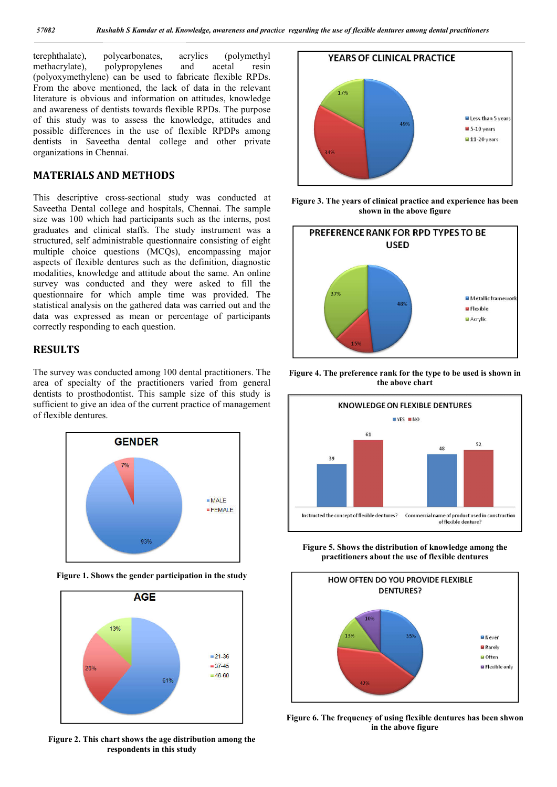terephthalate), polycarbonates, acrylics (polymethyl<br>methacrylate), polypropylenes and acetal resin methacrylate), polypropylenes and acetal resin (polyoxymethylene) can be used to fabricate flexible RPDs. From the above mentioned, the lack of data in the relevant literature is obvious and information on attitudes, knowledge and awareness of dentists towards flexible RPDs. The purpose of this study was to assess the knowledge, attitudes and possible differences in the use of flexible RPDPs among dentists in Saveetha dental college and other private organizations in Chennai.

#### **MATERIALS AND METHODS**

This descriptive cross-sectional study was conducted at Saveetha Dental college and hospitals, Chennai. The sample size was 100 which had participants such as the interns, post graduates and clinical staffs. The study instrument was a structured, self administrable questionnaire consisting of eight multiple choice questions (MCQs), encompassing major aspects of flexible dentures such as the definition, diagnostic modalities, knowledge and attitude about the same. An online survey was conducted and they were asked to fill the questionnaire for which ample time was provided. The statistical analysis on the gathered data was carried out and the data was expressed as mean or percentage of participants correctly responding to each question.

#### **RESULTS**

The survey was conducted among 100 dental practitioners. The area of specialty of the practitioners varied from general dentists to prosthodontist. This sample size of this study is sufficient to give an idea of the current practice of management of flexible dentures.



**Figure 1. Shows the gender participation in the study**



**Figure 2. This chart shows the age distribution among the respondents in this study**



**Figure 3. The years of clinical practice and experience has been shown in the above figure**



**Figure 4. The preference rank for the type to be used is shown in the above chart**



**Figure 5. Shows the distribution of knowledge among the practitioners about the use of flexible dentures**



**Figure 6. The frequency of using flexible dentures has been shwon in the above figure**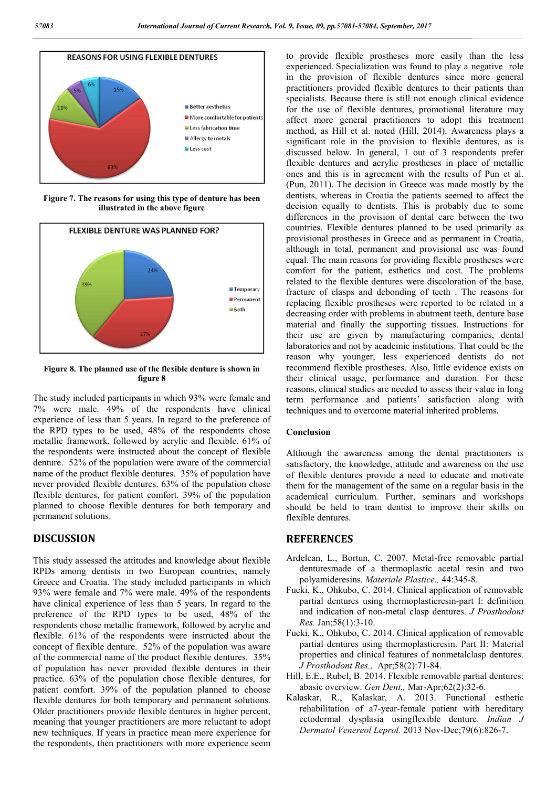

**Figure 7. The reasons for using this type of denture has been illustrated in the above figure**



**Figure 8. The planned use of the flexible denture is shown in figure 8**

The study included participants in which 93% were female and 7% were male. 49% of the respondents have clinical experience of less than 5 years. In regard to the preference of the RPD types to be used, 48% of the respondents chose metallic framework, followed by acrylic and flexible. 61% of the respondents were instructed about the concept of flexible denture. 52% of the population were aware of the commercial name of the product flexible dentures. 35% of population have never provided flexible dentures. 63% of the population chose flexible dentures, for patient comfort. 39% of the population planned to choose flexible dentures for both temporary and permanent solutions.

### **DISCUSSION**

This study assessed the attitudes and knowledge about flexible RPDs among dentists in two European countries, namely Greece and Croatia. The study included participants in which 93% were female and 7% were male. 49% of the respondents have clinical experience of less than 5 years. In regard to the preference of the RPD types to be used, 48% of the respondents chose metallic framework, followed by acrylic and flexible. 61% of the respondents were instructed about the concept of flexible denture. 52% of the population was aware of the commercial name of the product flexible dentures. 35% of population has never provided flexible dentures in their practice. 63% of the population chose flexible dentures, for patient comfort. 39% of the population planned to choose flexible dentures for both temporary and permanent solutions. Older practitioners provide flexible dentures in higher percent, meaning that younger practitioners are more reluctant to adopt new techniques. If years in practice mean more experience for the respondents, then practitioners with more experience seem to provide flexible prostheses more easily than the less experienced. Specialization was found to play a negative role in the provision of flexible dentures since more general practitioners provided flexible dentures to their patients than specialists. Because there is still not enough clinical evidence for the use of flexible dentures, promotional literature may affect more general practitioners to adopt this treatment method, as Hill et al. noted (Hill, 2014). Awareness plays a significant role in the provision to flexible dentures, as is discussed below. In general, 1 out of 3 respondents prefer flexible dentures and acrylic prostheses in place of metallic ones and this is in agreement with the results of Pun et al. (Pun, 2011). The decision in Greece was made mostly by the dentists, whereas in Croatia the patients seemed to affect the decision equally to dentists. This is probably due to some differences in the provision of dental care between the two countries. Flexible dentures planned to be used primarily as provisional prostheses in Greece and as permanent in Croatia, although in total, permanent and provisional use was found equal. The main reasons for providing flexible prostheses were comfort for the patient, esthetics and cost. The problems related to the flexible dentures were discoloration of the base, fracture of clasps and debonding of teeth . The reasons for replacing flexible prostheses were reported to be related in a decreasing order with problems in abutment teeth, denture base material and finally the supporting tissues. Instructions for their use are given by manufacturing companies, dental laboratories and not by academic institutions. That could be the reason why younger, less experienced dentists do not recommend flexible prostheses. Also, little evidence exists on their clinical usage, performance and duration. For these reasons, clinical studies are needed to assess their value in long term performance and patients' satisfaction along with techniques and to overcome material inherited problems.

#### **Conclusion**

Although the awareness among the dental practitioners is satisfactory, the knowledge, attitude and awareness on the use of flexible dentures provide a need to educate and motivate them for the management of the same on a regular basis in the academical curriculum. Further, seminars and workshops should be held to train dentist to improve their skills on flexible dentures.

#### **REFERENCES**

- Ardelean, L., Bortun, C. 2007. Metal-free removable partial denturesmade of a thermoplastic acetal resin and two polyamideresins. *Materiale Plastice.,* 44:345-8.
- Fueki, K., Ohkubo, C. 2014. Clinical application of removable partial dentures using thermoplasticresin-part I: definition and indication of non-metal clasp dentures. *J Prosthodont Res.* Jan;58(1):3-10.
- Fueki, K., Ohkubo, C. 2014. Clinical application of removable partial dentures using thermoplasticresin. Part II: Material properties and clinical features of nonmetalclasp dentures. *J Prosthodont Res.,* Apr;58(2):71-84.
- Hill, E.E., Rubel, B. 2014. Flexible removable partial dentures: abasic overview. *Gen Dent.,* Mar-Apr;62(2):32-6.
- Kalaskar, R., Kalaskar, A. 2013. Functional esthetic rehabilitation of a7-year-female patient with hereditary ectodermal dysplasia usingflexible denture. *Indian J Dermatol Venereol Leprol.* 2013 Nov-Dec;79(6):826-7.